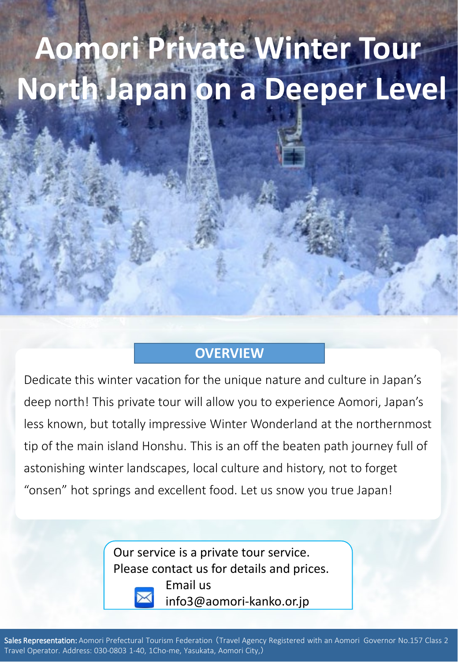# **Aomori Private Winter Tour North Japan on a Deeper Level**

#### **OVERVIEW**

Dedicate this winter vacation for the unique nature and culture in Japan's deep north! This private tour will allow you to experience Aomori, Japan's less known, but totally impressive Winter Wonderland at the northernmost tip of the main island Honshu. This is an off the beaten path journey full of astonishing winter landscapes, local culture and history, not to forget "onsen" hot springs and excellent food. Let us snow you true Japan!

> Our service is a private tour service. Please contact us for details and prices.



Email us info3@aomori-kanko.or.jp

Sales Representation: Aomori Prefectural Tourism Federation (Travel Agency Registered with an Aomori Governor No.157 Class 2 Travel Operator. Address: 030-0803 1-40, 1Cho-me, Yasukata, Aomori City,)